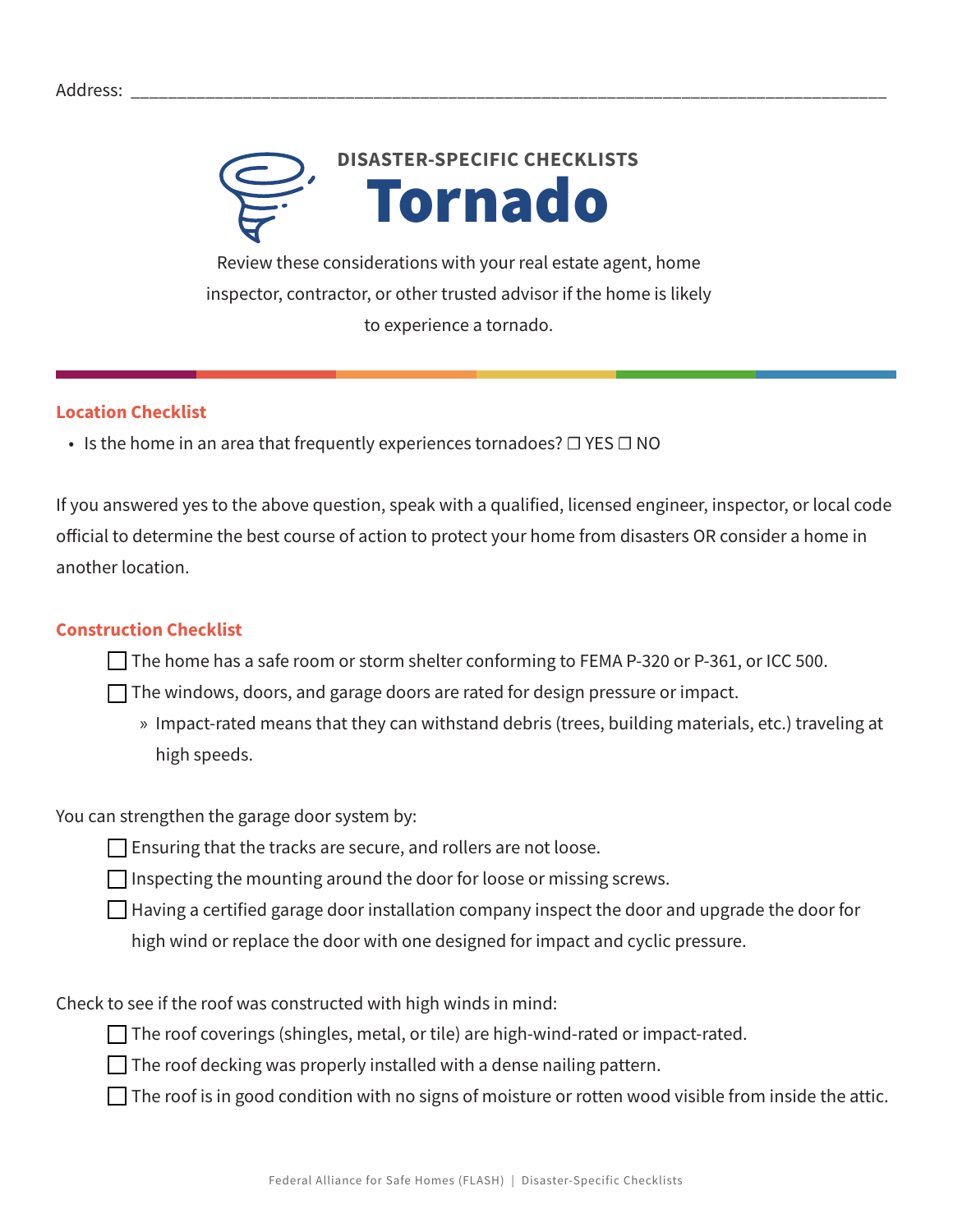

Review these considerations with your real estate agent, home inspector, contractor, or other trusted advisor if the home is likely to experience a tornado.

## **Location Checklist**

• Is the home in an area that frequently experiences tornadoes?  $\Box$  YES  $\Box$  NO

If you answered yes to the above question, speak with a qualified, licensed engineer, inspector, or local code official to determine the best course of action to protect your home from disasters OR consider a home in another location.

## **Construction Checklist**

 $\Box$  The home has a safe room or storm shelter conforming to FEMA P-320 or P-361, or ICC 500.

- $\Box$  The windows, doors, and garage doors are rated for design pressure or impact.
	- » Impact-rated means that they can withstand debris (trees, building materials, etc.) traveling at high speeds.

You can strengthen the garage door system by:

 $\Box$  Ensuring that the tracks are secure, and rollers are not loose.

 $\Box$  Inspecting the mounting around the door for loose or missing screws.

 $\Box$  Having a certified garage door installation company inspect the door and upgrade the door for high wind or replace the door with one designed for impact and cyclic pressure.

Check to see if the roof was constructed with high winds in mind:

 $\Box$  The roof coverings (shingles, metal, or tile) are high-wind-rated or impact-rated.

 $\Box$  The roof decking was properly installed with a dense nailing pattern.

 $\Box$  The roof is in good condition with no signs of moisture or rotten wood visible from inside the attic.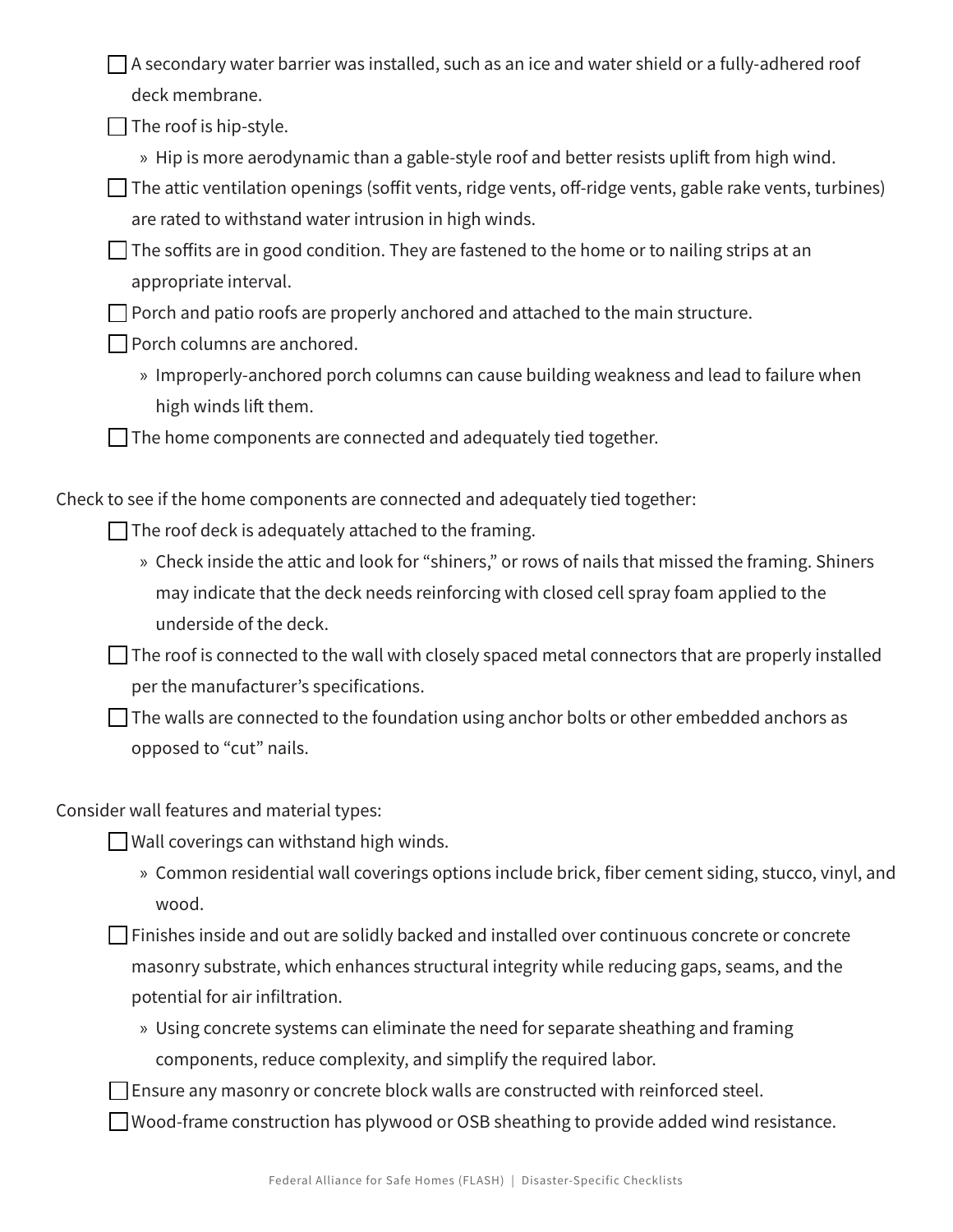$\Box$  A secondary water barrier was installed, such as an ice and water shield or a fully-adhered roof deck membrane.

 $\Box$  The roof is hip-style.

» Hip is more aerodynamic than a gable-style roof and better resists uplift from high wind.

 $\Box$  The attic ventilation openings (soffit vents, ridge vents, off-ridge vents, gable rake vents, turbines) are rated to withstand water intrusion in high winds.

 $\Box$  The soffits are in good condition. They are fastened to the home or to nailing strips at an appropriate interval.

 $\Box$  Porch and patio roofs are properly anchored and attached to the main structure.

- $\Box$  Porch columns are anchored.
	- » Improperly-anchored porch columns can cause building weakness and lead to failure when high winds lift them.

 $\Box$  The home components are connected and adequately tied together.

Check to see if the home components are connected and adequately tied together:

 $\Box$  The roof deck is adequately attached to the framing.

- » Check inside the attic and look for "shiners," or rows of nails that missed the framing. Shiners may indicate that the deck needs reinforcing with closed cell spray foam applied to the underside of the deck.
- $\Box$  The roof is connected to the wall with closely spaced metal connectors that are properly installed per the manufacturer's specifications.

 $\Box$  The walls are connected to the foundation using anchor bolts or other embedded anchors as opposed to "cut" nails.

Consider wall features and material types:

 $\Box$  Wall coverings can withstand high winds.

» Common residential wall coverings options include brick, fiber cement siding, stucco, vinyl, and wood.

 $\Box$  Finishes inside and out are solidly backed and installed over continuous concrete or concrete masonry substrate, which enhances structural integrity while reducing gaps, seams, and the potential for air infiltration.

» Using concrete systems can eliminate the need for separate sheathing and framing components, reduce complexity, and simplify the required labor.

 $\Box$  Ensure any masonry or concrete block walls are constructed with reinforced steel.

 $\Box$  Wood-frame construction has plywood or OSB sheathing to provide added wind resistance.